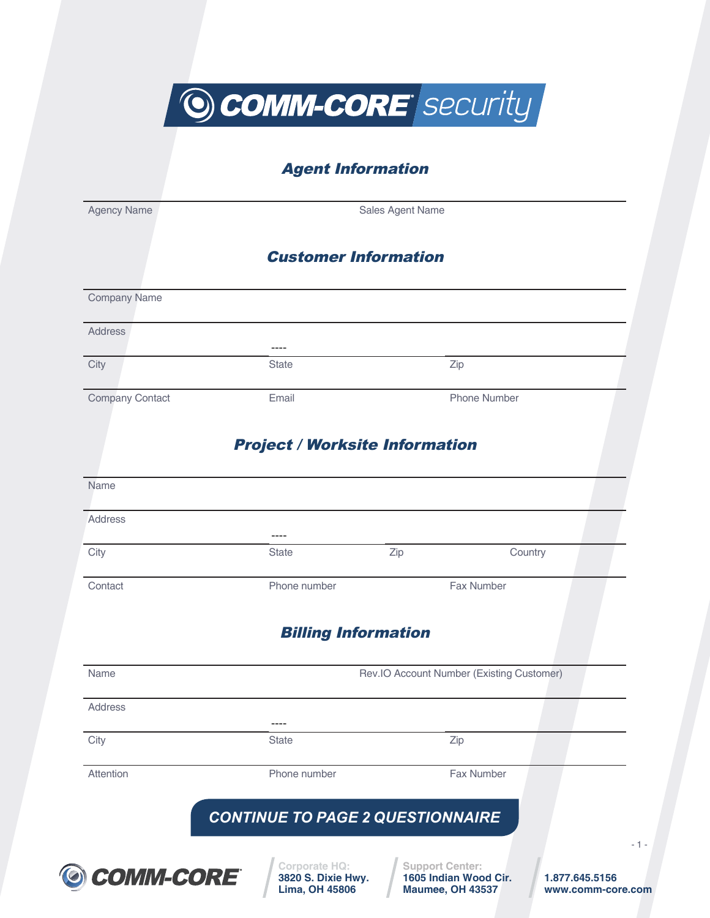O COMM-CORE Security

## Agent Information

Agency Name **Sales Agent Name** 

## Customer Information

| <b>Address</b>          |                                       |                                           |
|-------------------------|---------------------------------------|-------------------------------------------|
|                         |                                       |                                           |
| City                    | <b>State</b>                          | Zip                                       |
| Company Contact         | Email                                 | Phone Number                              |
|                         | <b>Project / Worksite Information</b> |                                           |
| Name                    |                                       |                                           |
| <b>Address</b>          |                                       |                                           |
| City                    | <b>State</b>                          | Zip<br>Country                            |
| Contact                 | Phone number                          | Fax Number                                |
|                         |                                       |                                           |
|                         | <b>Billing Information</b>            |                                           |
|                         |                                       | Rev.IO Account Number (Existing Customer) |
|                         |                                       |                                           |
| Name<br>Address<br>City | <b>State</b>                          | Zip                                       |

**Lima, OH 45806**

- 1 -

**www.comm-core.com**

**Maumee, OH 43537**